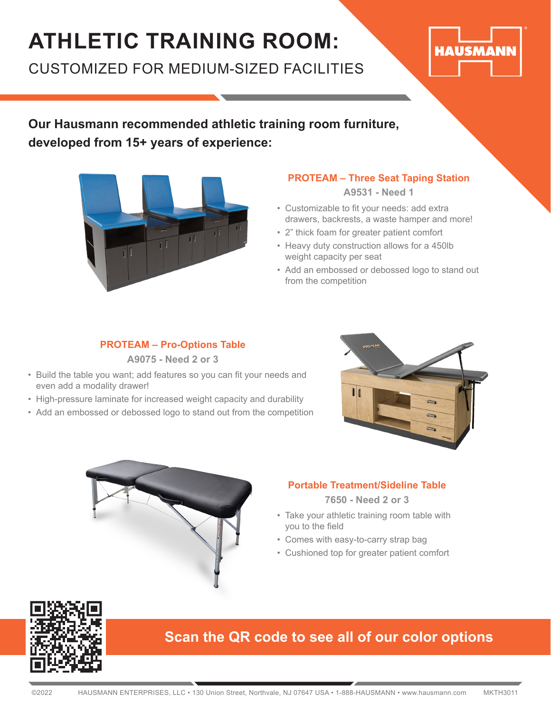## **ATHLETIC TRAINING ROOM:**

CUSTOMIZED FOR MEDIUM-SIZED FACILITIES



**Our Hausmann recommended athletic training room furniture, developed from 15+ years of experience:**



#### **PROTEAM – Three Seat Taping Station**

**A9531 - Need 1**

- Customizable to fit your needs: add extra drawers, backrests, a waste hamper and more!
- 2" thick foam for greater patient comfort
- Heavy duty construction allows for a 450lb weight capacity per seat
- Add an embossed or debossed logo to stand out from the competition

#### **PROTEAM – Pro-Options Table A9075 - Need 2 or 3**

- Build the table you want; add features so you can fit your needs and even add a modality drawer!
- High-pressure laminate for increased weight capacity and durability
- Add an embossed or debossed logo to stand out from the competition





#### **Portable Treatment/Sideline Table**

**7650 - Need 2 or 3**

- Take your athletic training room table with you to the field
- Comes with easy-to-carry strap bag
- Cushioned top for greater patient comfort



#### **Scan the QR code to see all of our color options**